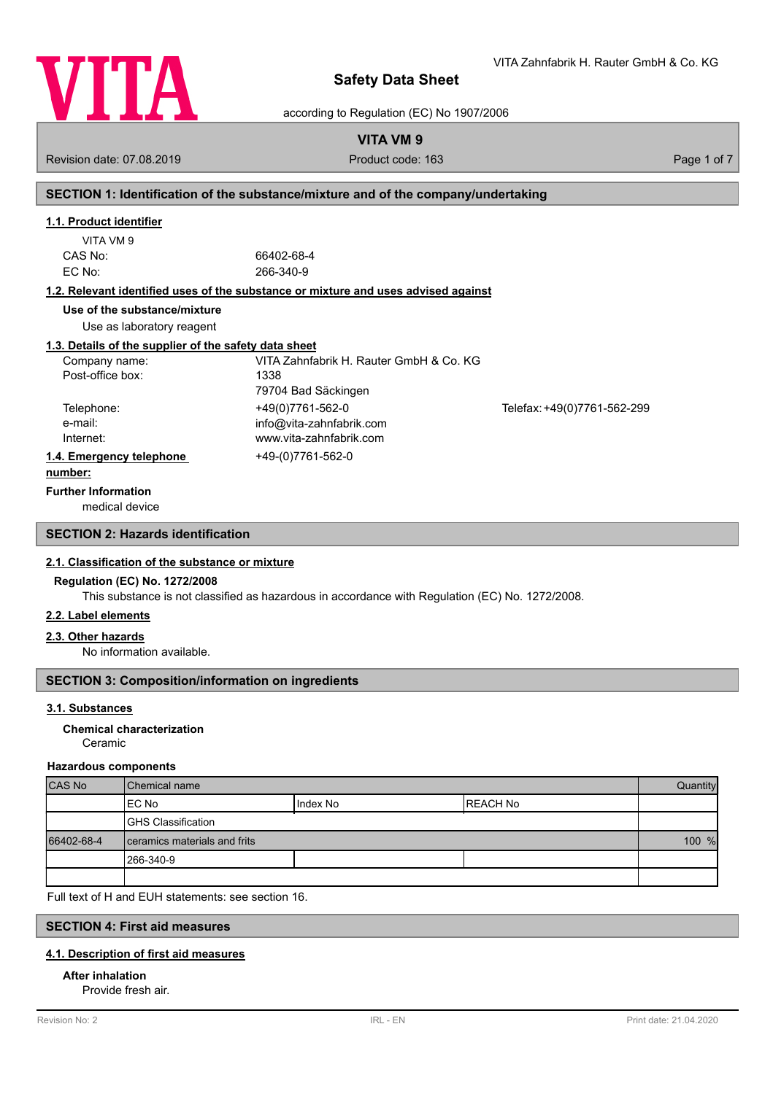

according to Regulation (EC) No 1907/2006

# **VITA VM 9**

Revision date: 07.08.2019 **Product code: 163** Product code: 163 **Page 1 of 7** Page 1 of 7

# **SECTION 1: Identification of the substance/mixture and of the company/undertaking**

### **1.1. Product identifier**

| VITA VM 9 |    |
|-----------|----|
| CAS No:   | 66 |
| EC No:    | 26 |

6402-68-4 66-340-9

### **1.2. Relevant identified uses of the substance or mixture and uses advised against**

**Use of the substance/mixture**

Use as laboratory reagent

### **1.3. Details of the supplier of the safety data sheet**

| Company name:            | VITA Zahnfabrik H. Rauter GmbH & Co. KG |                             |
|--------------------------|-----------------------------------------|-----------------------------|
| Post-office box:         | 1338                                    |                             |
|                          | 79704 Bad Säckingen                     |                             |
| Telephone:               | +49(0)7761-562-0                        | Telefax: +49(0)7761-562-299 |
| e-mail:                  | info@vita-zahnfabrik.com                |                             |
| Internet:                | www.vita-zahnfabrik.com                 |                             |
| 1.4. Emergency telephone | +49-(0)7761-562-0                       |                             |
| .                        |                                         |                             |

### **number:**

**Further Information**

medical device

### **SECTION 2: Hazards identification**

### **2.1. Classification of the substance or mixture**

### **Regulation (EC) No. 1272/2008**

This substance is not classified as hazardous in accordance with Regulation (EC) No. 1272/2008.

### **2.2. Label elements**

### **2.3. Other hazards**

No information available.

### **SECTION 3: Composition/information on ingredients**

### **3.1. Substances**

### Ceramic **Chemical characterization**

### **Hazardous components**

| <b>CAS No</b> | l Chemical name              |          | Quantity  |  |
|---------------|------------------------------|----------|-----------|--|
|               | IEC No                       | Index No | IREACH No |  |
|               | <b>GHS Classification</b>    |          |           |  |
| 66402-68-4    | ceramics materials and frits |          | 100 %     |  |
|               | 1266-340-9                   |          |           |  |
|               |                              |          |           |  |

Full text of H and EUH statements: see section 16.

### **SECTION 4: First aid measures**

### **4.1. Description of first aid measures**

### **After inhalation**

Provide fresh air.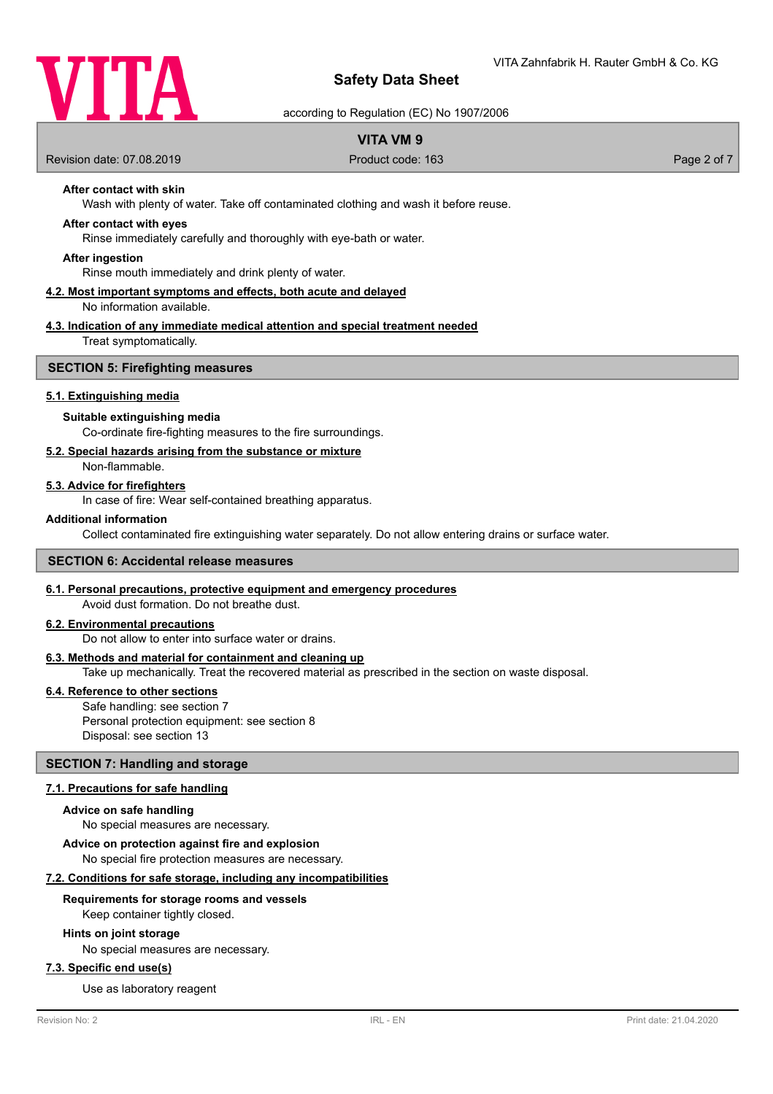

according to Regulation (EC) No 1907/2006

### **VITA VM 9**

Revision date: 07.08.2019 **Product code: 163** Product code: 163 **Page 2 of 7** Page 2 of 7

### **After contact with skin**

Wash with plenty of water. Take off contaminated clothing and wash it before reuse.

### **After contact with eyes**

Rinse immediately carefully and thoroughly with eye-bath or water.

#### **After ingestion**

Rinse mouth immediately and drink plenty of water.

#### **4.2. Most important symptoms and effects, both acute and delayed** No information available.

# **4.3. Indication of any immediate medical attention and special treatment needed**

Treat symptomatically.

#### **SECTION 5: Firefighting measures**

### **5.1. Extinguishing media**

### **Suitable extinguishing media**

Co-ordinate fire-fighting measures to the fire surroundings.

### **5.2. Special hazards arising from the substance or mixture**

Non-flammable.

#### **5.3. Advice for firefighters**

In case of fire: Wear self-contained breathing apparatus.

### **Additional information**

Collect contaminated fire extinguishing water separately. Do not allow entering drains or surface water.

### **SECTION 6: Accidental release measures**

### **6.1. Personal precautions, protective equipment and emergency procedures**

Avoid dust formation. Do not breathe dust.

### **6.2. Environmental precautions**

Do not allow to enter into surface water or drains.

#### **6.3. Methods and material for containment and cleaning up**

Take up mechanically. Treat the recovered material as prescribed in the section on waste disposal.

#### **6.4. Reference to other sections**

Safe handling: see section 7 Personal protection equipment: see section 8 Disposal: see section 13

### **SECTION 7: Handling and storage**

### **7.1. Precautions for safe handling**

#### **Advice on safe handling**

No special measures are necessary.

**Advice on protection against fire and explosion**

No special fire protection measures are necessary.

### **7.2. Conditions for safe storage, including any incompatibilities**

### **Requirements for storage rooms and vessels**

Keep container tightly closed.

### **Hints on joint storage**

No special measures are necessary.

### **7.3. Specific end use(s)**

Use as laboratory reagent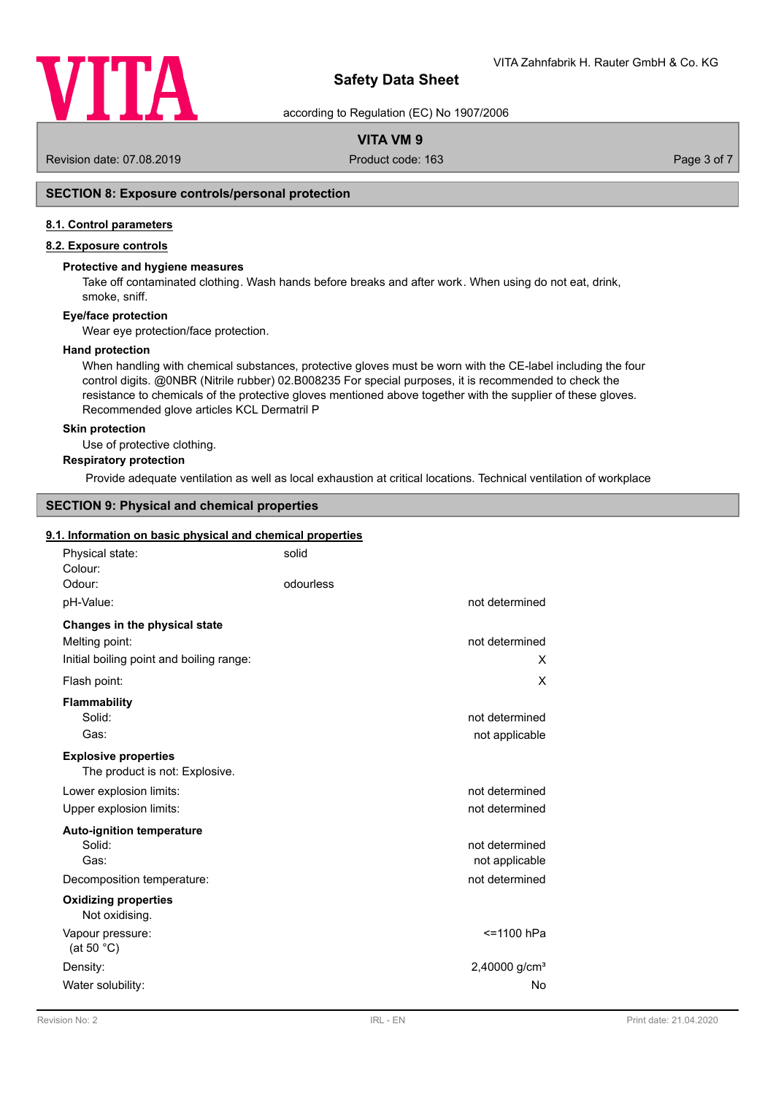

according to Regulation (EC) No 1907/2006

### **VITA VM 9**

Revision date: 07.08.2019 **Product code: 163** Product code: 163 **Page 3 of 7** Page 3 of 7

### **SECTION 8: Exposure controls/personal protection**

### **8.1. Control parameters**

### **8.2. Exposure controls**

### **Protective and hygiene measures**

Take off contaminated clothing. Wash hands before breaks and after work. When using do not eat, drink, smoke, sniff.

### **Eye/face protection**

Wear eye protection/face protection.

#### **Hand protection**

When handling with chemical substances, protective gloves must be worn with the CE-label including the four control digits. @0NBR (Nitrile rubber) 02.B008235 For special purposes, it is recommended to check the resistance to chemicals of the protective gloves mentioned above together with the supplier of these gloves. Recommended glove articles KCL Dermatril P

#### **Skin protection**

Use of protective clothing.

### **Respiratory protection**

Provide adequate ventilation as well as local exhaustion at critical locations. Technical ventilation of workplace

### **SECTION 9: Physical and chemical properties**

#### **9.1. Information on basic physical and chemical properties**

| Physical state:<br>Colour:                                    | solid     |                                  |
|---------------------------------------------------------------|-----------|----------------------------------|
| Odour:                                                        | odourless |                                  |
| pH-Value:                                                     |           | not determined                   |
| Changes in the physical state<br>Melting point:               |           | not determined                   |
| Initial boiling point and boiling range:                      |           | X                                |
| Flash point:                                                  |           | X                                |
| <b>Flammability</b><br>Solid:<br>Gas:                         |           | not determined<br>not applicable |
| <b>Explosive properties</b><br>The product is not: Explosive. |           |                                  |
| Lower explosion limits:                                       |           | not determined                   |
| Upper explosion limits:                                       |           | not determined                   |
| <b>Auto-ignition temperature</b><br>Solid:<br>Gas:            |           | not determined<br>not applicable |
| Decomposition temperature:                                    |           | not determined                   |
| <b>Oxidizing properties</b><br>Not oxidising.                 |           |                                  |
| Vapour pressure:<br>(at 50 $^{\circ}$ C)                      |           | <=1100 hPa                       |
| Density:                                                      |           | 2,40000 g/cm <sup>3</sup>        |
| Water solubility:                                             |           | No                               |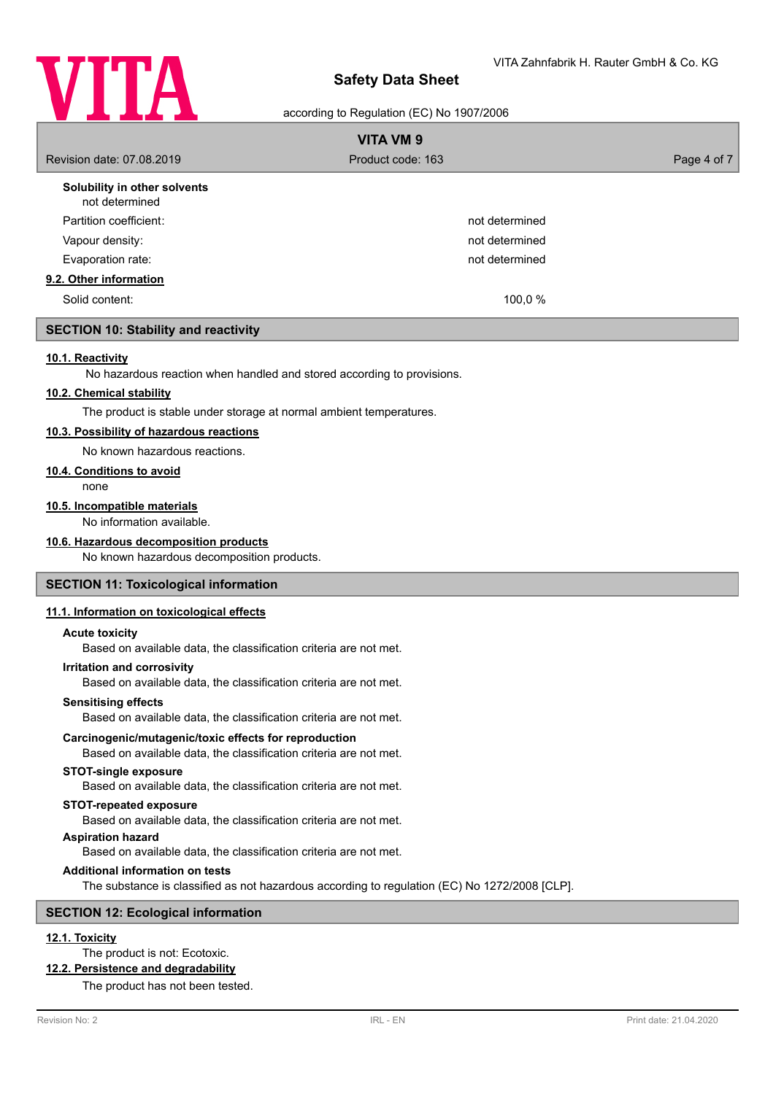

according to Regulation (EC) No 1907/2006

| <b>VITA VM 9</b>                               |                   |             |  |
|------------------------------------------------|-------------------|-------------|--|
| Revision date: 07.08.2019                      | Product code: 163 | Page 4 of 7 |  |
| Solubility in other solvents<br>not determined |                   |             |  |
| Partition coefficient:                         | not determined    |             |  |
| Vapour density:                                | not determined    |             |  |
| Evaporation rate:                              | not determined    |             |  |
| 9.2. Other information                         |                   |             |  |
| Solid content:                                 | 100,0 %           |             |  |
| <b>SECTION 10: Stability and reactivity</b>    |                   |             |  |

### **10.1. Reactivity**

No hazardous reaction when handled and stored according to provisions.

### **10.2. Chemical stability**

The product is stable under storage at normal ambient temperatures.

### **10.3. Possibility of hazardous reactions**

No known hazardous reactions.

#### **10.4. Conditions to avoid**

none

### **10.5. Incompatible materials**

No information available.

### **10.6. Hazardous decomposition products**

No known hazardous decomposition products.

#### **SECTION 11: Toxicological information**

### **11.1. Information on toxicological effects**

#### **Acute toxicity**

Based on available data, the classification criteria are not met.

#### **Irritation and corrosivity**

Based on available data, the classification criteria are not met.

#### **Sensitising effects**

Based on available data, the classification criteria are not met.

#### **Carcinogenic/mutagenic/toxic effects for reproduction**

Based on available data, the classification criteria are not met.

### **STOT-single exposure**

Based on available data, the classification criteria are not met.

### **STOT-repeated exposure**

Based on available data, the classification criteria are not met.

### **Aspiration hazard**

Based on available data, the classification criteria are not met.

### **Additional information on tests**

The substance is classified as not hazardous according to regulation (EC) No 1272/2008 [CLP].

#### **SECTION 12: Ecological information**

### **12.1. Toxicity**

The product is not: Ecotoxic.

#### **12.2. Persistence and degradability**

The product has not been tested.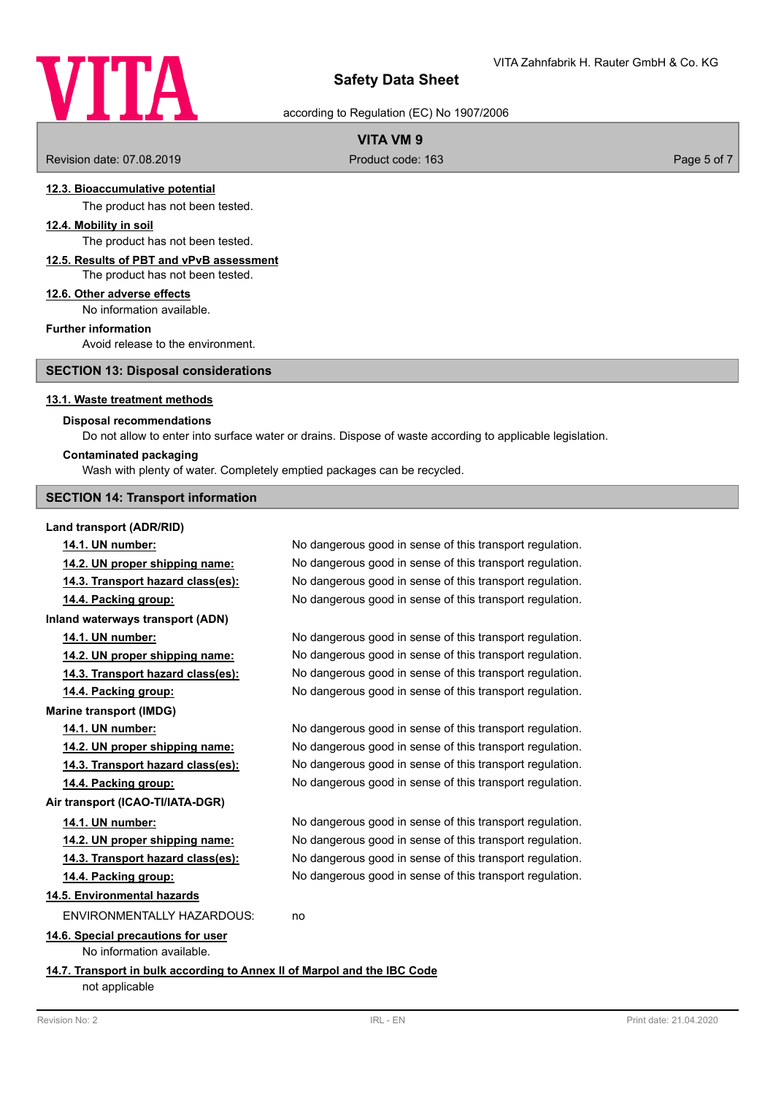

according to Regulation (EC) No 1907/2006

### **VITA VM 9**

Revision date: 07.08.2019 **Product code: 163** Product code: 163 **Page 5 of 7** Page 5 of 7

### **12.3. Bioaccumulative potential**

The product has not been tested.

### **12.4. Mobility in soil**

The product has not been tested.

### **12.5. Results of PBT and vPvB assessment**

The product has not been tested.

#### **12.6. Other adverse effects**

No information available.

### **Further information**

Avoid release to the environment.

### **SECTION 13: Disposal considerations**

#### **13.1. Waste treatment methods**

### **Disposal recommendations**

Do not allow to enter into surface water or drains. Dispose of waste according to applicable legislation.

### **Contaminated packaging**

Wash with plenty of water. Completely emptied packages can be recycled.

### **SECTION 14: Transport information**

#### **Land transport (ADR/RID)**

**14.1. UN number:** No dangerous good in sense of this transport regulation. **14.2. UN proper shipping name:** No dangerous good in sense of this transport regulation. **14.3. Transport hazard class(es):** No dangerous good in sense of this transport regulation. **14.4. Packing group:** No dangerous good in sense of this transport regulation. **Inland waterways transport (ADN) 14.1. UN number:** No dangerous good in sense of this transport regulation. **14.2. UN proper shipping name:** No dangerous good in sense of this transport regulation. **14.3. Transport hazard class(es):** No dangerous good in sense of this transport regulation. **14.4. Packing group:** No dangerous good in sense of this transport regulation. **Marine transport (IMDG) 14.1. UN number:** No dangerous good in sense of this transport regulation. **14.2. UN proper shipping name:** No dangerous good in sense of this transport regulation. **14.3. Transport hazard class(es):** No dangerous good in sense of this transport regulation. **14.4. Packing group:** No dangerous good in sense of this transport regulation. **Air transport (ICAO-TI/IATA-DGR) 14.1. UN number:** No dangerous good in sense of this transport regulation. **14.2. UN proper shipping name:** No dangerous good in sense of this transport regulation. **14.3. Transport hazard class(es):** No dangerous good in sense of this transport regulation. **14.4. Packing group:** No dangerous good in sense of this transport regulation. **14.5. Environmental hazards** ENVIRONMENTALLY HAZARDOUS: no **14.6. Special precautions for user** No information available. **14.7. Transport in bulk according to Annex II of Marpol and the IBC Code** not applicable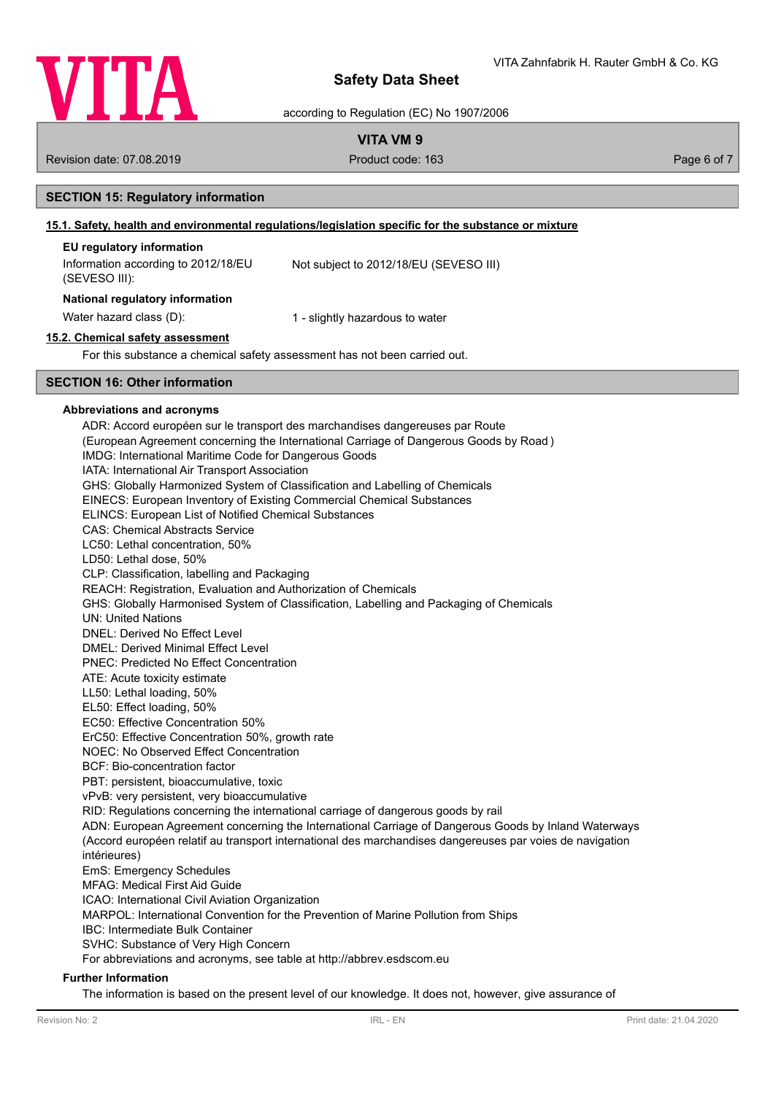

according to Regulation (EC) No 1907/2006

### **VITA VM 9**

Revision date: 07.08.2019 **Product code: 163** Product code: 163 **Page 6 of 7** Page 6 of 7

### **SECTION 15: Regulatory information**

### **15.1. Safety, health and environmental regulations/legislation specific for the substance or mixture**

### **EU regulatory information**

| Information according to 2012/18/EU<br>(SEVESO III): | Not subject to 2012/18/EU (SEVESO III) |
|------------------------------------------------------|----------------------------------------|
| National regulatory information                      |                                        |
| Water hazard class (D):                              | 1 - slightly hazardous to water        |

# **15.2. Chemical safety assessment**

For this substance a chemical safety assessment has not been carried out.

### **SECTION 16: Other information**

#### **Abbreviations and acronyms**

ADR: Accord européen sur le transport des marchandises dangereuses par Route (European Agreement concerning the International Carriage of Dangerous Goods by Road ) IMDG: International Maritime Code for Dangerous Goods IATA: International Air Transport Association GHS: Globally Harmonized System of Classification and Labelling of Chemicals EINECS: European Inventory of Existing Commercial Chemical Substances ELINCS: European List of Notified Chemical Substances CAS: Chemical Abstracts Service LC50: Lethal concentration, 50% LD50: Lethal dose, 50% CLP: Classification, labelling and Packaging REACH: Registration, Evaluation and Authorization of Chemicals GHS: Globally Harmonised System of Classification, Labelling and Packaging of Chemicals UN: United Nations DNEL: Derived No Effect Level DMEL: Derived Minimal Effect Level PNEC: Predicted No Effect Concentration ATE: Acute toxicity estimate LL50: Lethal loading, 50% EL50: Effect loading, 50% EC50: Effective Concentration 50% ErC50: Effective Concentration 50%, growth rate NOEC: No Observed Effect Concentration BCF: Bio-concentration factor PBT: persistent, bioaccumulative, toxic vPvB: very persistent, very bioaccumulative RID: Regulations concerning the international carriage of dangerous goods by rail ADN: European Agreement concerning the International Carriage of Dangerous Goods by Inland Waterways (Accord européen relatif au transport international des marchandises dangereuses par voies de navigation intérieures) EmS: Emergency Schedules MFAG: Medical First Aid Guide ICAO: International Civil Aviation Organization MARPOL: International Convention for the Prevention of Marine Pollution from Ships IBC: Intermediate Bulk Container SVHC: Substance of Very High Concern For abbreviations and acronyms, see table at http://abbrev.esdscom.eu

### **Further Information**

The information is based on the present level of our knowledge. It does not, however, give assurance of